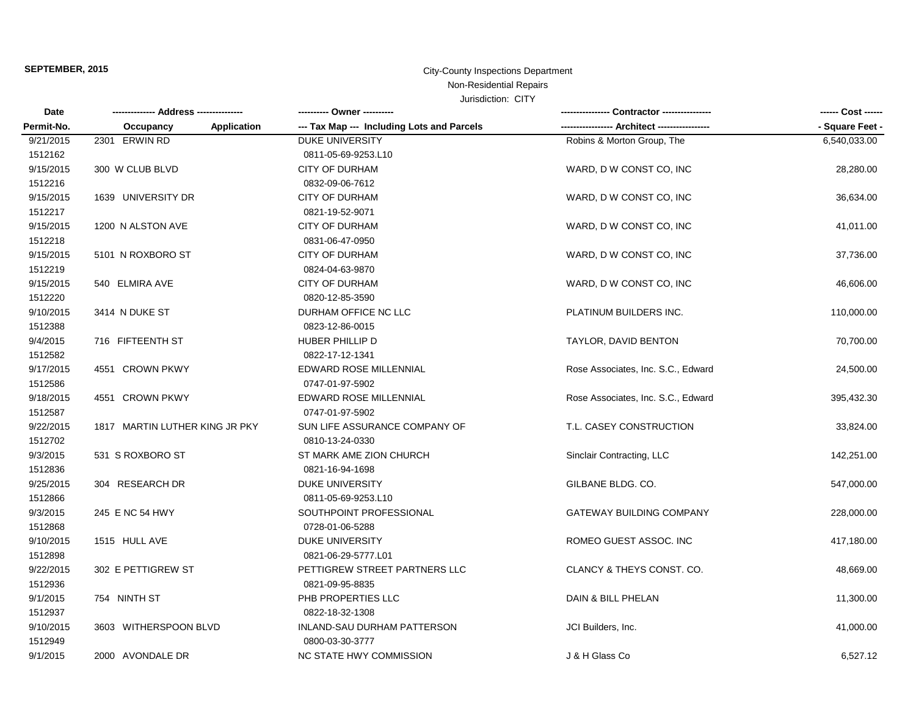### **SEPTEMBER, 2015 City-County Inspections Department** Non-Residential Repairs

| Date<br>Permit-No. |                                 | ---------- Owner ----------                | - Contractor ----------------      | ------ Cost ------ |
|--------------------|---------------------------------|--------------------------------------------|------------------------------------|--------------------|
|                    | <b>Application</b><br>Occupancy | --- Tax Map --- Including Lots and Parcels |                                    | - Square Feet -    |
| 9/21/2015          | 2301 ERWIN RD                   | <b>DUKE UNIVERSITY</b>                     | Robins & Morton Group, The         | 6,540,033.00       |
| 1512162            |                                 | 0811-05-69-9253.L10                        |                                    |                    |
| 9/15/2015          | 300 W CLUB BLVD                 | <b>CITY OF DURHAM</b>                      | WARD, D W CONST CO, INC            | 28,280.00          |
| 1512216            |                                 | 0832-09-06-7612                            |                                    |                    |
| 9/15/2015          | 1639 UNIVERSITY DR              | <b>CITY OF DURHAM</b>                      | WARD, D W CONST CO, INC            | 36,634.00          |
| 1512217            |                                 | 0821-19-52-9071                            |                                    |                    |
| 9/15/2015          | 1200 N ALSTON AVE               | <b>CITY OF DURHAM</b>                      | WARD, D W CONST CO, INC            | 41,011.00          |
| 1512218            |                                 | 0831-06-47-0950                            |                                    |                    |
| 9/15/2015          | 5101 N ROXBORO ST               | <b>CITY OF DURHAM</b>                      | WARD, D W CONST CO, INC            | 37,736.00          |
| 1512219            |                                 | 0824-04-63-9870                            |                                    |                    |
| 9/15/2015          | 540 ELMIRA AVE                  | <b>CITY OF DURHAM</b>                      | WARD, D W CONST CO, INC            | 46,606.00          |
| 1512220            |                                 | 0820-12-85-3590                            |                                    |                    |
| 9/10/2015          | 3414 N DUKE ST                  | DURHAM OFFICE NC LLC                       | PLATINUM BUILDERS INC.             | 110,000.00         |
| 1512388            |                                 | 0823-12-86-0015                            |                                    |                    |
| 9/4/2015           | 716 FIFTEENTH ST                | HUBER PHILLIP D                            | TAYLOR, DAVID BENTON               | 70,700.00          |
| 1512582            |                                 | 0822-17-12-1341                            |                                    |                    |
| 9/17/2015          | 4551 CROWN PKWY                 | EDWARD ROSE MILLENNIAL                     | Rose Associates, Inc. S.C., Edward | 24,500.00          |
| 1512586            |                                 | 0747-01-97-5902                            |                                    |                    |
| 9/18/2015          | 4551 CROWN PKWY                 | EDWARD ROSE MILLENNIAL                     | Rose Associates, Inc. S.C., Edward | 395,432.30         |
| 1512587            |                                 | 0747-01-97-5902                            |                                    |                    |
| 9/22/2015          | 1817 MARTIN LUTHER KING JR PKY  | SUN LIFE ASSURANCE COMPANY OF              | T.L. CASEY CONSTRUCTION            | 33,824.00          |
| 1512702            |                                 | 0810-13-24-0330                            |                                    |                    |
| 9/3/2015           | 531 S ROXBORO ST                | ST MARK AME ZION CHURCH                    | Sinclair Contracting, LLC          | 142,251.00         |
| 1512836            |                                 | 0821-16-94-1698                            |                                    |                    |
| 9/25/2015          | 304 RESEARCH DR                 | <b>DUKE UNIVERSITY</b>                     | GILBANE BLDG. CO.                  | 547,000.00         |
| 1512866            |                                 | 0811-05-69-9253.L10                        |                                    |                    |
| 9/3/2015           | 245 E NC 54 HWY                 | SOUTHPOINT PROFESSIONAL                    | <b>GATEWAY BUILDING COMPANY</b>    | 228,000.00         |
| 1512868            |                                 | 0728-01-06-5288                            |                                    |                    |
| 9/10/2015          | 1515 HULL AVE                   | <b>DUKE UNIVERSITY</b>                     | ROMEO GUEST ASSOC. INC             | 417,180.00         |
| 1512898            |                                 | 0821-06-29-5777.L01                        |                                    |                    |
| 9/22/2015          | 302 E PETTIGREW ST              | PETTIGREW STREET PARTNERS LLC              | CLANCY & THEYS CONST. CO.          | 48,669.00          |
| 1512936            |                                 | 0821-09-95-8835                            |                                    |                    |
| 9/1/2015           | 754 NINTH ST                    | PHB PROPERTIES LLC                         | DAIN & BILL PHELAN                 | 11,300.00          |
| 1512937            |                                 | 0822-18-32-1308                            |                                    |                    |
| 9/10/2015          | 3603 WITHERSPOON BLVD           | INLAND-SAU DURHAM PATTERSON                | JCI Builders, Inc.                 | 41,000.00          |
| 1512949            |                                 | 0800-03-30-3777                            |                                    |                    |
| 9/1/2015           | 2000 AVONDALE DR                | NC STATE HWY COMMISSION                    | J & H Glass Co                     | 6,527.12           |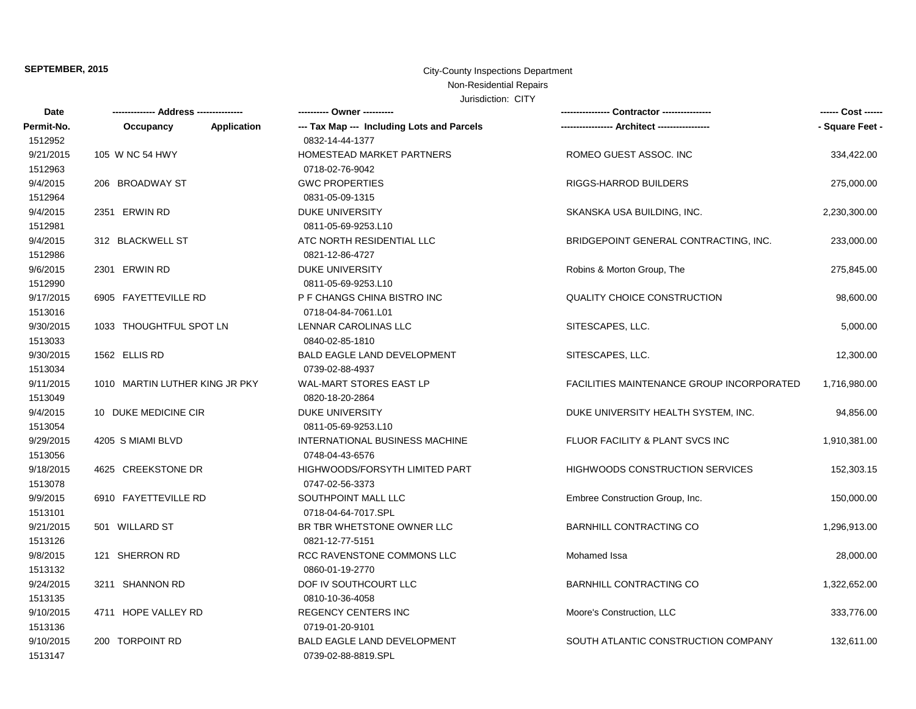# **SEPTEMBER, 2015** City-County Inspections Department

## Non-Residential Repairs

| Date       |                                |                    | ---------- Owner ----------                |                                                  |                 |
|------------|--------------------------------|--------------------|--------------------------------------------|--------------------------------------------------|-----------------|
| Permit-No. | Occupancy                      | <b>Application</b> | --- Tax Map --- Including Lots and Parcels |                                                  | - Square Feet - |
| 1512952    |                                |                    | 0832-14-44-1377                            |                                                  |                 |
| 9/21/2015  | 105 W NC 54 HWY                |                    | HOMESTEAD MARKET PARTNERS                  | ROMEO GUEST ASSOC. INC                           | 334,422.00      |
| 1512963    |                                |                    | 0718-02-76-9042                            |                                                  |                 |
| 9/4/2015   | 206 BROADWAY ST                |                    | <b>GWC PROPERTIES</b>                      | RIGGS-HARROD BUILDERS                            | 275,000.00      |
| 1512964    |                                |                    | 0831-05-09-1315                            |                                                  |                 |
| 9/4/2015   | 2351 ERWIN RD                  |                    | <b>DUKE UNIVERSITY</b>                     | SKANSKA USA BUILDING, INC.                       | 2,230,300.00    |
| 1512981    |                                |                    | 0811-05-69-9253.L10                        |                                                  |                 |
| 9/4/2015   | 312 BLACKWELL ST               |                    | ATC NORTH RESIDENTIAL LLC                  | BRIDGEPOINT GENERAL CONTRACTING, INC.            | 233,000.00      |
| 1512986    |                                |                    | 0821-12-86-4727                            |                                                  |                 |
| 9/6/2015   | 2301 ERWIN RD                  |                    | <b>DUKE UNIVERSITY</b>                     | Robins & Morton Group, The                       | 275,845.00      |
| 1512990    |                                |                    | 0811-05-69-9253.L10                        |                                                  |                 |
| 9/17/2015  | 6905 FAYETTEVILLE RD           |                    | P F CHANGS CHINA BISTRO INC                | <b>QUALITY CHOICE CONSTRUCTION</b>               | 98,600.00       |
| 1513016    |                                |                    | 0718-04-84-7061.L01                        |                                                  |                 |
| 9/30/2015  | 1033 THOUGHTFUL SPOT LN        |                    | LENNAR CAROLINAS LLC                       | SITESCAPES, LLC.                                 | 5,000.00        |
| 1513033    |                                |                    | 0840-02-85-1810                            |                                                  |                 |
| 9/30/2015  | 1562 ELLIS RD                  |                    | <b>BALD EAGLE LAND DEVELOPMENT</b>         | SITESCAPES, LLC.                                 | 12,300.00       |
| 1513034    |                                |                    | 0739-02-88-4937                            |                                                  |                 |
| 9/11/2015  | 1010 MARTIN LUTHER KING JR PKY |                    | WAL-MART STORES EAST LP                    | <b>FACILITIES MAINTENANCE GROUP INCORPORATED</b> | 1,716,980.00    |
| 1513049    |                                |                    | 0820-18-20-2864                            |                                                  |                 |
| 9/4/2015   | 10 DUKE MEDICINE CIR           |                    | DUKE UNIVERSITY                            | DUKE UNIVERSITY HEALTH SYSTEM, INC.              | 94,856.00       |
| 1513054    |                                |                    | 0811-05-69-9253.L10                        |                                                  |                 |
| 9/29/2015  | 4205 S MIAMI BLVD              |                    | INTERNATIONAL BUSINESS MACHINE             | FLUOR FACILITY & PLANT SVCS INC                  | 1,910,381.00    |
| 1513056    |                                |                    | 0748-04-43-6576                            |                                                  |                 |
| 9/18/2015  | 4625 CREEKSTONE DR             |                    | HIGHWOODS/FORSYTH LIMITED PART             | <b>HIGHWOODS CONSTRUCTION SERVICES</b>           | 152,303.15      |
| 1513078    |                                |                    | 0747-02-56-3373                            |                                                  |                 |
| 9/9/2015   | 6910 FAYETTEVILLE RD           |                    | SOUTHPOINT MALL LLC                        | Embree Construction Group, Inc.                  | 150,000.00      |
| 1513101    |                                |                    | 0718-04-64-7017.SPL                        |                                                  |                 |
| 9/21/2015  | 501 WILLARD ST                 |                    | BR TBR WHETSTONE OWNER LLC                 | <b>BARNHILL CONTRACTING CO</b>                   | 1,296,913.00    |
| 1513126    |                                |                    | 0821-12-77-5151                            |                                                  |                 |
| 9/8/2015   | 121 SHERRON RD                 |                    | RCC RAVENSTONE COMMONS LLC                 | Mohamed Issa                                     | 28,000.00       |
| 1513132    |                                |                    | 0860-01-19-2770                            |                                                  |                 |
| 9/24/2015  | 3211 SHANNON RD                |                    | DOF IV SOUTHCOURT LLC                      | BARNHILL CONTRACTING CO                          | 1,322,652.00    |
| 1513135    |                                |                    | 0810-10-36-4058                            |                                                  |                 |
| 9/10/2015  | 4711 HOPE VALLEY RD            |                    | REGENCY CENTERS INC                        | Moore's Construction, LLC                        | 333,776.00      |
| 1513136    |                                |                    | 0719-01-20-9101                            |                                                  |                 |
| 9/10/2015  | 200 TORPOINT RD                |                    | <b>BALD EAGLE LAND DEVELOPMENT</b>         | SOUTH ATLANTIC CONSTRUCTION COMPANY              | 132,611.00      |
| 1513147    |                                |                    | 0739-02-88-8819.SPL                        |                                                  |                 |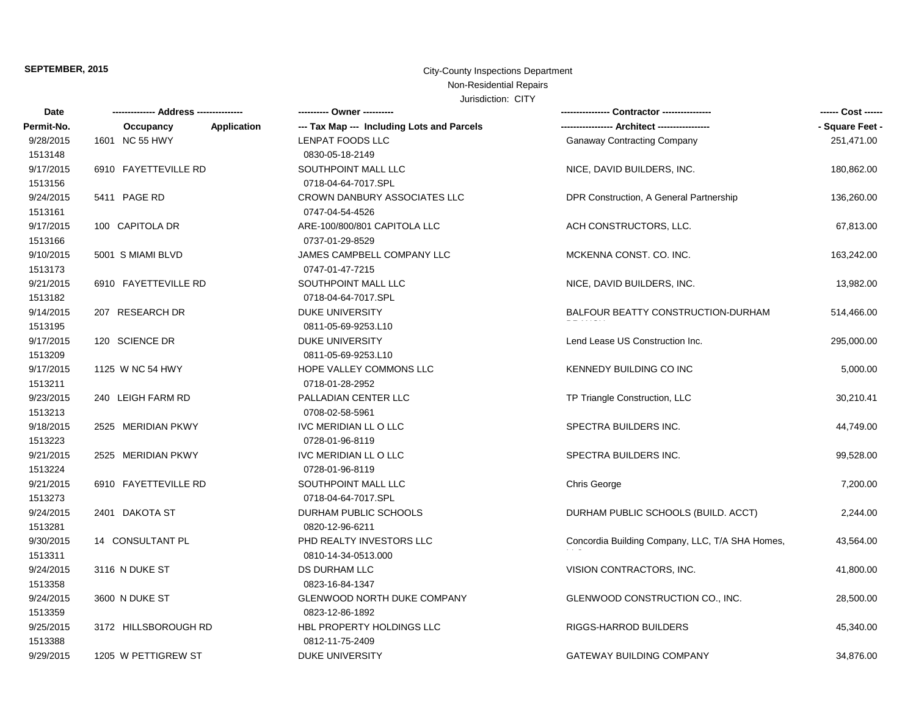### **SEPTEMBER, 2015** City-County Inspections Department Non-Residential Repairs

| Date       |                      |             | ---------- Owner ----------                | . Contractor ----------------                   | ------ Cost ------ |
|------------|----------------------|-------------|--------------------------------------------|-------------------------------------------------|--------------------|
| Permit-No. | Occupancy            | Application | --- Tax Map --- Including Lots and Parcels |                                                 | - Square Feet -    |
| 9/28/2015  | 1601 NC 55 HWY       |             | LENPAT FOODS LLC                           | <b>Ganaway Contracting Company</b>              | 251,471.00         |
| 1513148    |                      |             | 0830-05-18-2149                            |                                                 |                    |
| 9/17/2015  | 6910 FAYETTEVILLE RD |             | SOUTHPOINT MALL LLC                        | NICE, DAVID BUILDERS, INC.                      | 180,862.00         |
| 1513156    |                      |             | 0718-04-64-7017.SPL                        |                                                 |                    |
| 9/24/2015  | 5411 PAGE RD         |             | CROWN DANBURY ASSOCIATES LLC               | DPR Construction, A General Partnership         | 136,260.00         |
| 1513161    |                      |             | 0747-04-54-4526                            |                                                 |                    |
| 9/17/2015  | 100 CAPITOLA DR      |             | ARE-100/800/801 CAPITOLA LLC               | ACH CONSTRUCTORS, LLC.                          | 67,813.00          |
| 1513166    |                      |             | 0737-01-29-8529                            |                                                 |                    |
| 9/10/2015  | 5001 S MIAMI BLVD    |             | JAMES CAMPBELL COMPANY LLC                 | MCKENNA CONST. CO. INC.                         | 163,242.00         |
| 1513173    |                      |             | 0747-01-47-7215                            |                                                 |                    |
| 9/21/2015  | 6910 FAYETTEVILLE RD |             | SOUTHPOINT MALL LLC                        | NICE, DAVID BUILDERS, INC.                      | 13,982.00          |
| 1513182    |                      |             | 0718-04-64-7017.SPL                        |                                                 |                    |
| 9/14/2015  | 207 RESEARCH DR      |             | DUKE UNIVERSITY                            | BALFOUR BEATTY CONSTRUCTION-DURHAM              | 514,466.00         |
| 1513195    |                      |             | 0811-05-69-9253.L10                        |                                                 |                    |
| 9/17/2015  | 120 SCIENCE DR       |             | DUKE UNIVERSITY                            | Lend Lease US Construction Inc.                 | 295,000.00         |
| 1513209    |                      |             | 0811-05-69-9253.L10                        |                                                 |                    |
| 9/17/2015  | 1125 W NC 54 HWY     |             | HOPE VALLEY COMMONS LLC                    | KENNEDY BUILDING CO INC                         | 5,000.00           |
| 1513211    |                      |             | 0718-01-28-2952                            |                                                 |                    |
| 9/23/2015  | 240 LEIGH FARM RD    |             | PALLADIAN CENTER LLC                       | TP Triangle Construction, LLC                   | 30,210.41          |
| 1513213    |                      |             | 0708-02-58-5961                            |                                                 |                    |
| 9/18/2015  | 2525 MERIDIAN PKWY   |             | IVC MERIDIAN LL O LLC                      | SPECTRA BUILDERS INC.                           | 44,749.00          |
| 1513223    |                      |             | 0728-01-96-8119                            |                                                 |                    |
| 9/21/2015  | 2525 MERIDIAN PKWY   |             | IVC MERIDIAN LL O LLC                      | SPECTRA BUILDERS INC.                           | 99,528.00          |
| 1513224    |                      |             | 0728-01-96-8119                            |                                                 |                    |
| 9/21/2015  | 6910 FAYETTEVILLE RD |             | SOUTHPOINT MALL LLC                        | <b>Chris George</b>                             | 7,200.00           |
| 1513273    |                      |             | 0718-04-64-7017.SPL                        |                                                 |                    |
| 9/24/2015  | 2401 DAKOTA ST       |             | DURHAM PUBLIC SCHOOLS                      | DURHAM PUBLIC SCHOOLS (BUILD. ACCT)             | 2,244.00           |
| 1513281    |                      |             | 0820-12-96-6211                            |                                                 |                    |
| 9/30/2015  | 14 CONSULTANT PL     |             | PHD REALTY INVESTORS LLC                   | Concordia Building Company, LLC, T/A SHA Homes, | 43,564.00          |
| 1513311    |                      |             | 0810-14-34-0513.000                        |                                                 |                    |
| 9/24/2015  | 3116 N DUKE ST       |             | <b>DS DURHAM LLC</b>                       | VISION CONTRACTORS, INC.                        | 41,800.00          |
| 1513358    |                      |             | 0823-16-84-1347                            |                                                 |                    |
| 9/24/2015  | 3600 N DUKE ST       |             | <b>GLENWOOD NORTH DUKE COMPANY</b>         | GLENWOOD CONSTRUCTION CO., INC.                 | 28,500.00          |
| 1513359    |                      |             | 0823-12-86-1892                            |                                                 |                    |
| 9/25/2015  | 3172 HILLSBOROUGH RD |             | HBL PROPERTY HOLDINGS LLC                  | RIGGS-HARROD BUILDERS                           | 45,340.00          |
| 1513388    |                      |             | 0812-11-75-2409                            |                                                 |                    |
| 9/29/2015  | 1205 W PETTIGREW ST  |             | <b>DUKE UNIVERSITY</b>                     | <b>GATEWAY BUILDING COMPANY</b>                 | 34.876.00          |